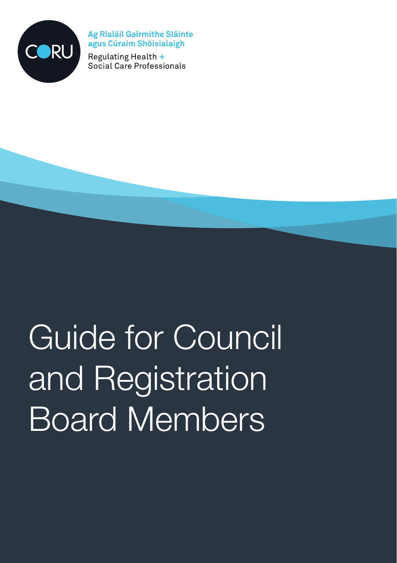

Ag Rialáil Gairmithe Sláinte agus Cúraim Shóisialaigh

Regulating Health + Social Care Professionals

# Guide for Council and Registration Board Members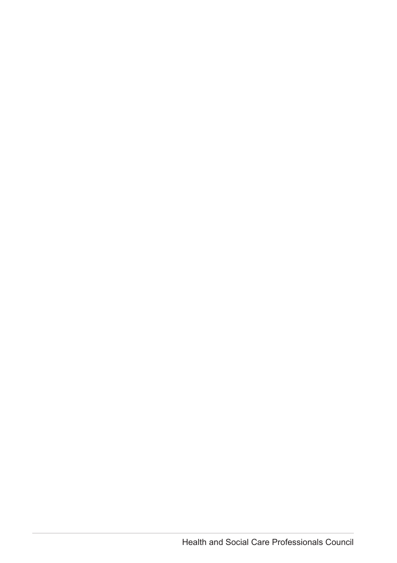Health and Social Care Professionals Council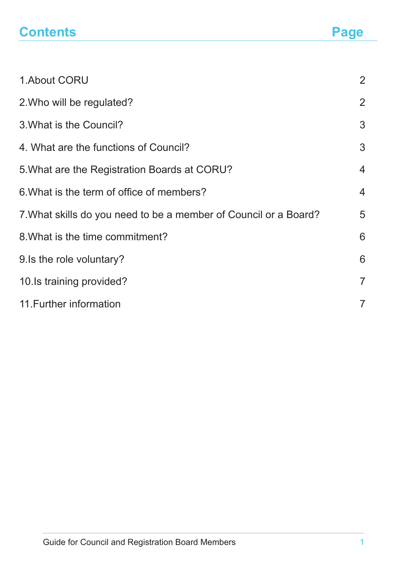## **Contents Page**

| 1. About CORU                                                    | $\overline{2}$ |
|------------------------------------------------------------------|----------------|
| 2. Who will be regulated?                                        | $\overline{2}$ |
| 3. What is the Council?                                          | 3              |
| 4. What are the functions of Council?                            | 3              |
| 5. What are the Registration Boards at CORU?                     | 4              |
| 6. What is the term of office of members?                        | $\overline{4}$ |
| 7. What skills do you need to be a member of Council or a Board? | 5              |
| 8. What is the time commitment?                                  | 6              |
| 9. Is the role voluntary?                                        | 6              |
| 10. Is training provided?                                        | $\overline{7}$ |
| 11. Further information                                          | 7              |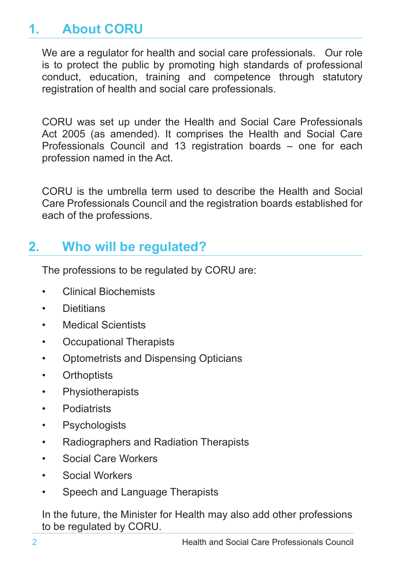## **1. About CORU**

We are a regulator for health and social care professionals. Our role is to protect the public by promoting high standards of professional conduct, education, training and competence through statutory registration of health and social care professionals.

CORU was set up under the Health and Social Care Professionals Act 2005 (as amended). It comprises the Health and Social Care Professionals Council and 13 registration boards – one for each profession named in the Act.

CORU is the umbrella term used to describe the Health and Social Care Professionals Council and the registration boards established for each of the professions.

## **2. Who will be regulated?**

The professions to be regulated by CORU are:

- Clinical Biochemists
- Dietitians
- Medical Scientists
- Occupational Therapists
- Optometrists and Dispensing Opticians
- Orthoptists
- Physiotherapists
- Podiatrists
- Psychologists
- Radiographers and Radiation Therapists
- Social Care Workers
- Social Workers
- Speech and Language Therapists

In the future, the Minister for Health may also add other professions to be regulated by CORU.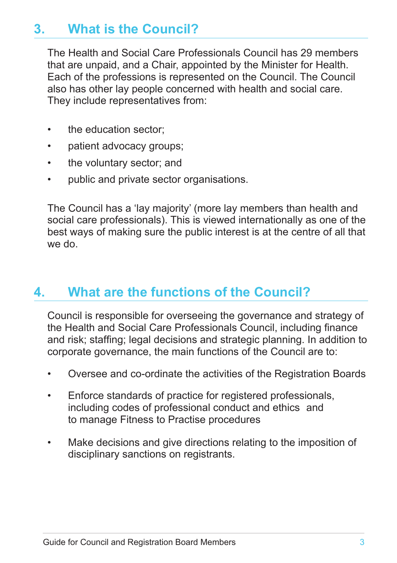## **3. What is the Council?**

The Health and Social Care Professionals Council has 29 members that are unpaid, and a Chair, appointed by the Minister for Health. Each of the professions is represented on the Council. The Council also has other lay people concerned with health and social care. They include representatives from:

- the education sector:
- patient advocacy groups;
- the voluntary sector; and
- public and private sector organisations.

The Council has a 'lay majority' (more lay members than health and social care professionals). This is viewed internationally as one of the best ways of making sure the public interest is at the centre of all that we do.

## **4. What are the functions of the Council?**

Council is responsible for overseeing the governance and strategy of the Health and Social Care Professionals Council, including finance and risk; staffing; legal decisions and strategic planning. In addition to corporate governance, the main functions of the Council are to:

- Oversee and co-ordinate the activities of the Registration Boards
- Enforce standards of practice for registered professionals, including codes of professional conduct and ethics and to manage Fitness to Practise procedures
- Make decisions and give directions relating to the imposition of disciplinary sanctions on registrants.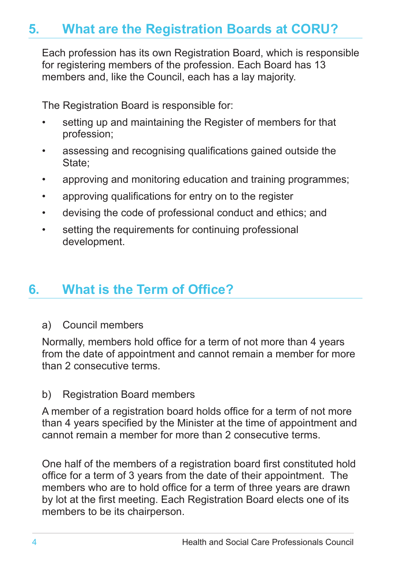## **5. What are the Registration Boards at CORU?**

Each profession has its own Registration Board, which is responsible for registering members of the profession. Each Board has 13 members and, like the Council, each has a lay majority.

The Registration Board is responsible for:

- setting up and maintaining the Register of members for that profession;
- assessing and recognising qualifications gained outside the State:
- approving and monitoring education and training programmes;
- approving qualifications for entry on to the register
- devising the code of professional conduct and ethics; and
- setting the requirements for continuing professional development.

## **6. What is the Term of Office?**

a) Council members

Normally, members hold office for a term of not more than 4 years from the date of appointment and cannot remain a member for more than 2 consecutive terms.

#### b) Registration Board members

A member of a registration board holds office for a term of not more than 4 years specified by the Minister at the time of appointment and cannot remain a member for more than 2 consecutive terms.

One half of the members of a registration board first constituted hold office for a term of 3 years from the date of their appointment. The members who are to hold office for a term of three years are drawn by lot at the first meeting. Each Registration Board elects one of its members to be its chairperson.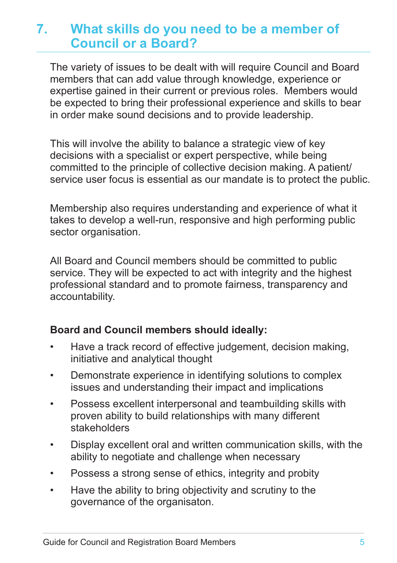### **7. What skills do you need to be a member of Council or a Board?**

The variety of issues to be dealt with will require Council and Board members that can add value through knowledge, experience or expertise gained in their current or previous roles. Members would be expected to bring their professional experience and skills to bear in order make sound decisions and to provide leadership.

This will involve the ability to balance a strategic view of key decisions with a specialist or expert perspective, while being committed to the principle of collective decision making. A patient/ service user focus is essential as our mandate is to protect the public.

Membership also requires understanding and experience of what it takes to develop a well-run, responsive and high performing public sector organisation.

All Board and Council members should be committed to public service. They will be expected to act with integrity and the highest professional standard and to promote fairness, transparency and accountability.

#### **Board and Council members should ideally:**

- Have a track record of effective judgement, decision making, initiative and analytical thought
- Demonstrate experience in identifying solutions to complex issues and understanding their impact and implications
- Possess excellent interpersonal and teambuilding skills with proven ability to build relationships with many different stakeholders
- Display excellent oral and written communication skills, with the ability to negotiate and challenge when necessary
- Possess a strong sense of ethics, integrity and probity
- Have the ability to bring objectivity and scrutiny to the governance of the organisaton.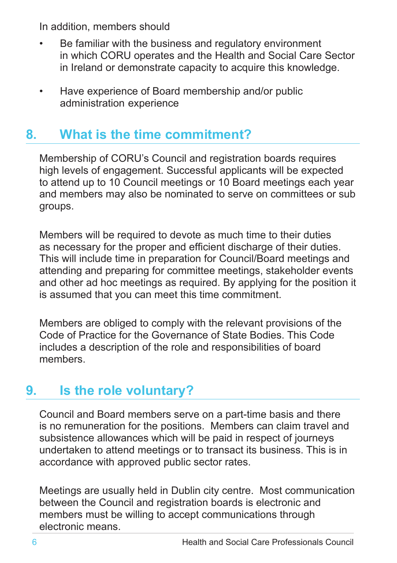In addition, members should

- Be familiar with the business and regulatory environment in which CORU operates and the Health and Social Care Sector in Ireland or demonstrate capacity to acquire this knowledge.
- Have experience of Board membership and/or public administration experience

## **8. What is the time commitment?**

Membership of CORU's Council and registration boards requires high levels of engagement. Successful applicants will be expected to attend up to 10 Council meetings or 10 Board meetings each year and members may also be nominated to serve on committees or sub groups.

Members will be required to devote as much time to their duties as necessary for the proper and efficient discharge of their duties. This will include time in preparation for Council/Board meetings and attending and preparing for committee meetings, stakeholder events and other ad hoc meetings as required. By applying for the position it is assumed that you can meet this time commitment.

Members are obliged to comply with the relevant provisions of the Code of Practice for the Governance of State Bodies. This Code includes a description of the role and responsibilities of board members.

## **9. Is the role voluntary?**

Council and Board members serve on a part-time basis and there is no remuneration for the positions. Members can claim travel and subsistence allowances which will be paid in respect of journeys undertaken to attend meetings or to transact its business. This is in accordance with approved public sector rates.

Meetings are usually held in Dublin city centre. Most communication between the Council and registration boards is electronic and members must be willing to accept communications through electronic means.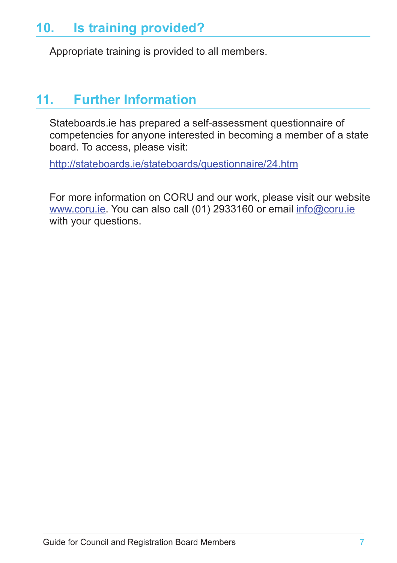## **10. Is training provided?**

Appropriate training is provided to all members.

## **11. Further Information**

Stateboards.ie has prepared a self-assessment questionnaire of competencies for anyone interested in becoming a member of a state board. To access, please visit:

http://stateboards.ie/stateboards/questionnaire/24.htm

For more information on CORU and our work, please visit our website www.coru.ie. You can also call (01) 2933160 or email info@coru.ie with your questions.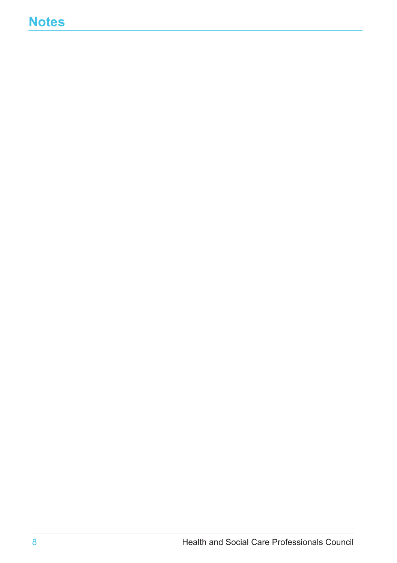## **Notes**